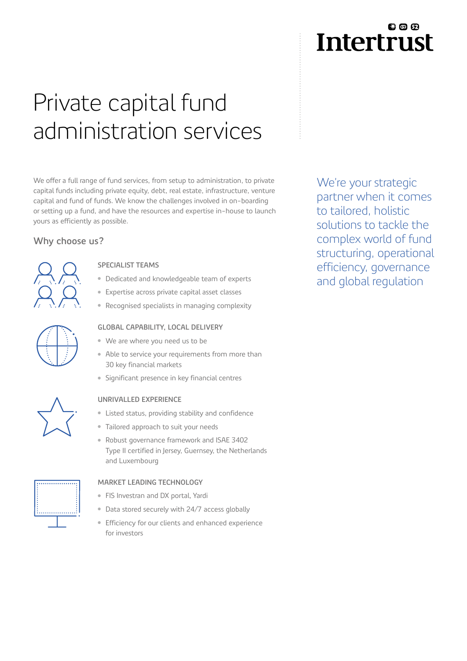# Private capital fund administration services

We offer a full range of fund services, from setup to administration, to private capital funds including private equity, debt, real estate, infrastructure, venture capital and fund of funds. We know the challenges involved in on-boarding or setting up a fund, and have the resources and expertise in-house to launch yours as efficiently as possible.

#### **Why choose us?**



#### **SPECIALIST TEAMS**

- Dedicated and knowledgeable team of experts
- Expertise across private capital asset classes
- Recognised specialists in managing complexity



#### **GLOBAL CAPABILITY, LOCAL DELIVERY**

- We are where you need us to be
- Able to service your requirements from more than 30 key financial markets
- Significant presence in key financial centres



#### **UNRIVALLED EXPERIENCE**

- Listed status, providing stability and confidence
- Tailored approach to suit your needs
- Robust governance framework and ISAE 3402 Type II certified in Jersey, Guernsey, the Netherlands and Luxembourg

#### **MARKET LEADING TECHNOLOGY**

- FIS Investran and DX portal, Yardi
- Data stored securely with 24/7 access globally
- **Efficiency for our clients and enhanced experience** for investors

## £1 @ £2 **Intertrust**

We're your strategic partner when it comes to tailored, holistic solutions to tackle the complex world of fund structuring, operational efficiency, governance and global regulation